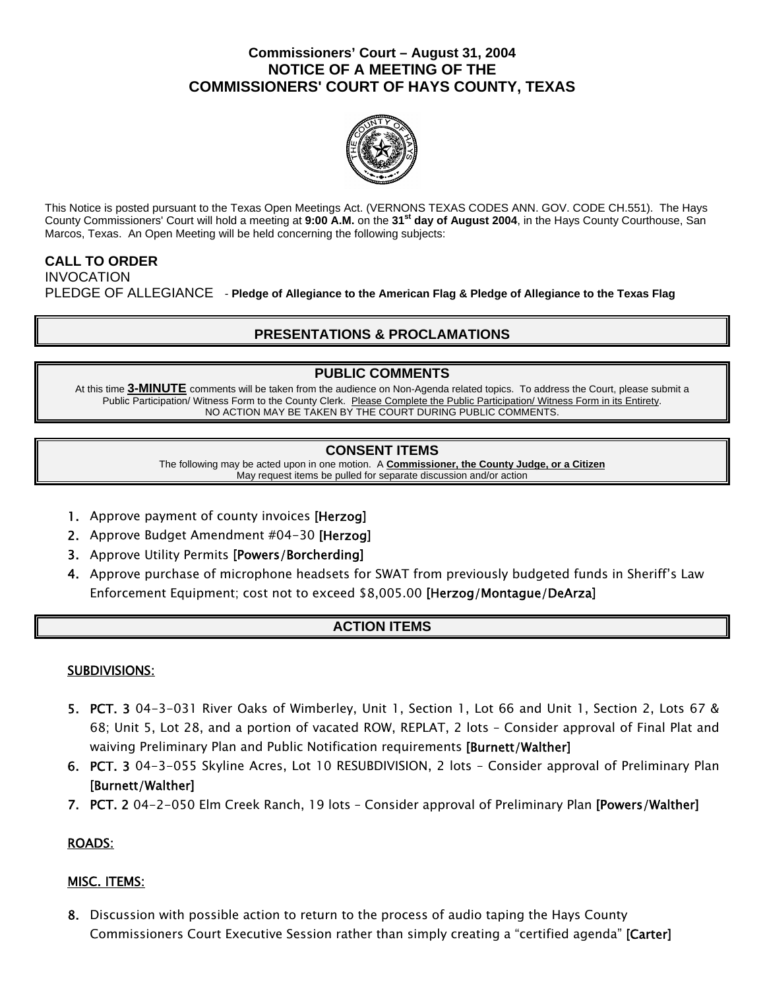### **Commissioners' Court – August 31, 2004 NOTICE OF A MEETING OF THE COMMISSIONERS' COURT OF HAYS COUNTY, TEXAS**



This Notice is posted pursuant to the Texas Open Meetings Act. (VERNONS TEXAS CODES ANN. GOV. CODE CH.551). The Hays County Commissioners' Court will hold a meeting at **9:00 A.M.** on the **31st day of August 2004**, in the Hays County Courthouse, San Marcos, Texas. An Open Meeting will be held concerning the following subjects:

### **CALL TO ORDER**  INVOCATION PLEDGE OF ALLEGIANCE - **Pledge of Allegiance to the American Flag & Pledge of Allegiance to the Texas Flag**

# **PRESENTATIONS & PROCLAMATIONS**

## **PUBLIC COMMENTS**

At this time **3-MINUTE** comments will be taken from the audience on Non-Agenda related topics. To address the Court, please submit a Public Participation/ Witness Form to the County Clerk. Please Complete the Public Participation/ Witness Form in its Entirety. NO ACTION MAY BE TAKEN BY THE COURT DURING PUBLIC COMMENTS.

### **CONSENT ITEMS**

The following may be acted upon in one motion. A **Commissioner, the County Judge, or a Citizen** May request items be pulled for separate discussion and/or action

- 1. Approve payment of county invoices [Herzog]
- 2. Approve Budget Amendment #04-30 [Herzog]
- 3. Approve Utility Permits [Powers/Borcherding]
- 4. Approve purchase of microphone headsets for SWAT from previously budgeted funds in Sheriff's Law Enforcement Equipment; cost not to exceed \$8,005.00 [Herzog/Montague/DeArza]

### **ACTION ITEMS**

### SUBDIVISIONS:

- 5. PCT. 3 04-3-031 River Oaks of Wimberley, Unit 1, Section 1, Lot 66 and Unit 1, Section 2, Lots 67 & 68; Unit 5, Lot 28, and a portion of vacated ROW, REPLAT, 2 lots – Consider approval of Final Plat and waiving Preliminary Plan and Public Notification requirements [Burnett/Walther]
- 6. PCT. 3 04-3-055 Skyline Acres, Lot 10 RESUBDIVISION, 2 lots Consider approval of Preliminary Plan [Burnett/Walther]
- 7. PCT. 2 04-2-050 Elm Creek Ranch, 19 lots Consider approval of Preliminary Plan [Powers/Walther]

### ROADS:

### MISC. ITEMS:

8. Discussion with possible action to return to the process of audio taping the Hays County Commissioners Court Executive Session rather than simply creating a "certified agenda" [Carter]